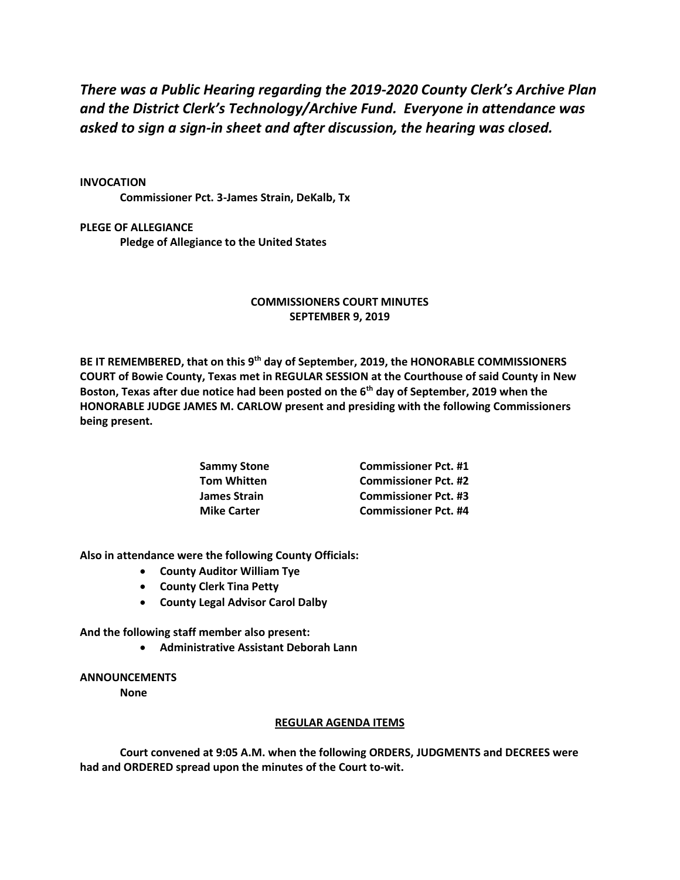*There was a Public Hearing regarding the 2019-2020 County Clerk's Archive Plan and the District Clerk's Technology/Archive Fund. Everyone in attendance was asked to sign a sign-in sheet and after discussion, the hearing was closed.*

## **INVOCATION**

**Commissioner Pct. 3-James Strain, DeKalb, Tx**

**PLEGE OF ALLEGIANCE Pledge of Allegiance to the United States**

## **COMMISSIONERS COURT MINUTES SEPTEMBER 9, 2019**

**BE IT REMEMBERED, that on this 9th day of September, 2019, the HONORABLE COMMISSIONERS COURT of Bowie County, Texas met in REGULAR SESSION at the Courthouse of said County in New Boston, Texas after due notice had been posted on the 6th day of September, 2019 when the HONORABLE JUDGE JAMES M. CARLOW present and presiding with the following Commissioners being present.**

| Sammy Stone<br>Tom Whitten | <b>Commissioner Pct. #1</b> |
|----------------------------|-----------------------------|
|                            | <b>Commissioner Pct. #2</b> |
| James Strain               | <b>Commissioner Pct. #3</b> |
| <b>Mike Carter</b>         | <b>Commissioner Pct. #4</b> |

**Also in attendance were the following County Officials:**

- **County Auditor William Tye**
- **County Clerk Tina Petty**
- **County Legal Advisor Carol Dalby**

**And the following staff member also present:**

• **Administrative Assistant Deborah Lann**

## **ANNOUNCEMENTS**

**None**

## **REGULAR AGENDA ITEMS**

**Court convened at 9:05 A.M. when the following ORDERS, JUDGMENTS and DECREES were had and ORDERED spread upon the minutes of the Court to-wit.**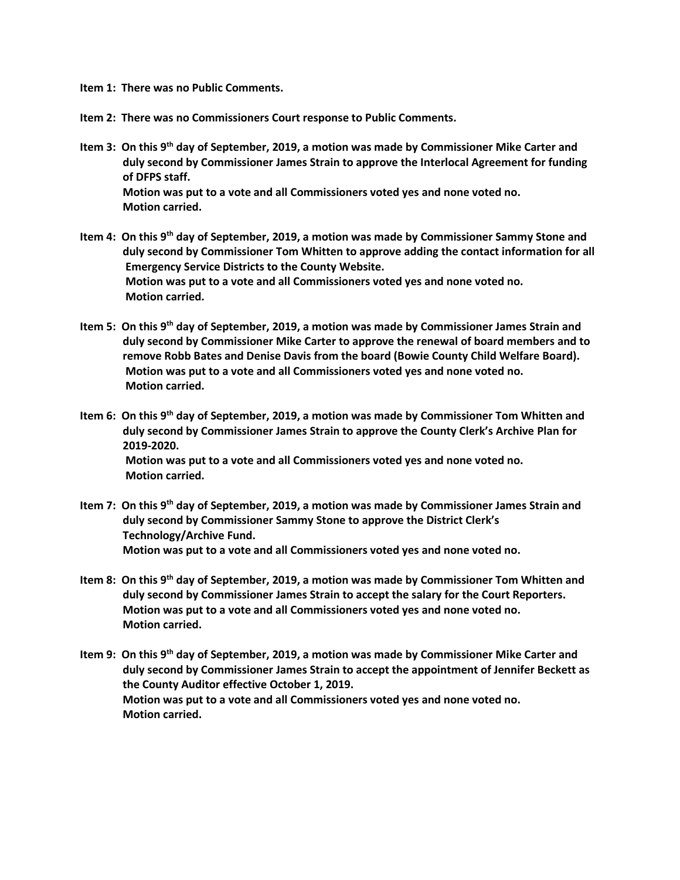- **Item 1: There was no Public Comments.**
- **Item 2: There was no Commissioners Court response to Public Comments.**
- **Item 3: On this 9th day of September, 2019, a motion was made by Commissioner Mike Carter and duly second by Commissioner James Strain to approve the Interlocal Agreement for funding of DFPS staff. Motion was put to a vote and all Commissioners voted yes and none voted no. Motion carried.**
- **Item 4: On this 9th day of September, 2019, a motion was made by Commissioner Sammy Stone and duly second by Commissioner Tom Whitten to approve adding the contact information for all Emergency Service Districts to the County Website. Motion was put to a vote and all Commissioners voted yes and none voted no. Motion carried.**
- **Item 5: On this 9th day of September, 2019, a motion was made by Commissioner James Strain and duly second by Commissioner Mike Carter to approve the renewal of board members and to remove Robb Bates and Denise Davis from the board (Bowie County Child Welfare Board). Motion was put to a vote and all Commissioners voted yes and none voted no. Motion carried.**
- **Item 6: On this 9th day of September, 2019, a motion was made by Commissioner Tom Whitten and duly second by Commissioner James Strain to approve the County Clerk's Archive Plan for 2019-2020. Motion was put to a vote and all Commissioners voted yes and none voted no. Motion carried.**
- **Item 7: On this 9th day of September, 2019, a motion was made by Commissioner James Strain and duly second by Commissioner Sammy Stone to approve the District Clerk's Technology/Archive Fund. Motion was put to a vote and all Commissioners voted yes and none voted no.**
- **Item 8: On this 9th day of September, 2019, a motion was made by Commissioner Tom Whitten and duly second by Commissioner James Strain to accept the salary for the Court Reporters. Motion was put to a vote and all Commissioners voted yes and none voted no. Motion carried.**
- **Item 9: On this 9th day of September, 2019, a motion was made by Commissioner Mike Carter and duly second by Commissioner James Strain to accept the appointment of Jennifer Beckett as the County Auditor effective October 1, 2019. Motion was put to a vote and all Commissioners voted yes and none voted no. Motion carried.**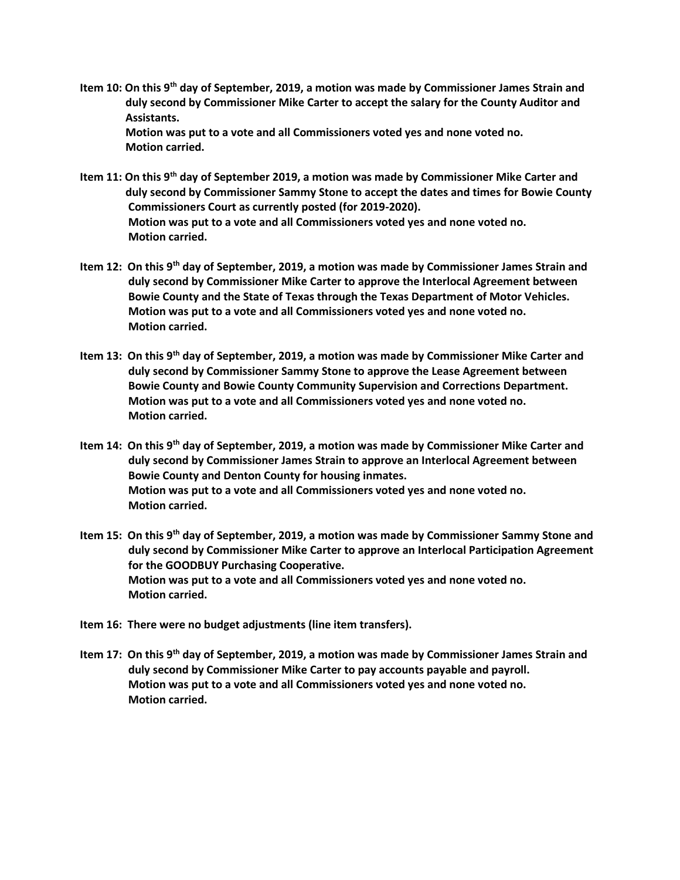**Item 10: On this 9th day of September, 2019, a motion was made by Commissioner James Strain and duly second by Commissioner Mike Carter to accept the salary for the County Auditor and Assistants. Motion was put to a vote and all Commissioners voted yes and none voted no.**

 **Motion carried.**

**Item 11: On this 9th day of September 2019, a motion was made by Commissioner Mike Carter and duly second by Commissioner Sammy Stone to accept the dates and times for Bowie County Commissioners Court as currently posted (for 2019-2020). Motion was put to a vote and all Commissioners voted yes and none voted no. Motion carried.**

- **Item 12: On this 9th day of September, 2019, a motion was made by Commissioner James Strain and duly second by Commissioner Mike Carter to approve the Interlocal Agreement between Bowie County and the State of Texas through the Texas Department of Motor Vehicles. Motion was put to a vote and all Commissioners voted yes and none voted no. Motion carried.**
- **Item 13: On this 9th day of September, 2019, a motion was made by Commissioner Mike Carter and duly second by Commissioner Sammy Stone to approve the Lease Agreement between Bowie County and Bowie County Community Supervision and Corrections Department. Motion was put to a vote and all Commissioners voted yes and none voted no. Motion carried.**
- **Item 14: On this 9th day of September, 2019, a motion was made by Commissioner Mike Carter and duly second by Commissioner James Strain to approve an Interlocal Agreement between Bowie County and Denton County for housing inmates. Motion was put to a vote and all Commissioners voted yes and none voted no. Motion carried.**
- **Item 15: On this 9th day of September, 2019, a motion was made by Commissioner Sammy Stone and duly second by Commissioner Mike Carter to approve an Interlocal Participation Agreement for the GOODBUY Purchasing Cooperative. Motion was put to a vote and all Commissioners voted yes and none voted no. Motion carried.**
- **Item 16: There were no budget adjustments (line item transfers).**
- **Item 17: On this 9th day of September, 2019, a motion was made by Commissioner James Strain and duly second by Commissioner Mike Carter to pay accounts payable and payroll. Motion was put to a vote and all Commissioners voted yes and none voted no. Motion carried.**